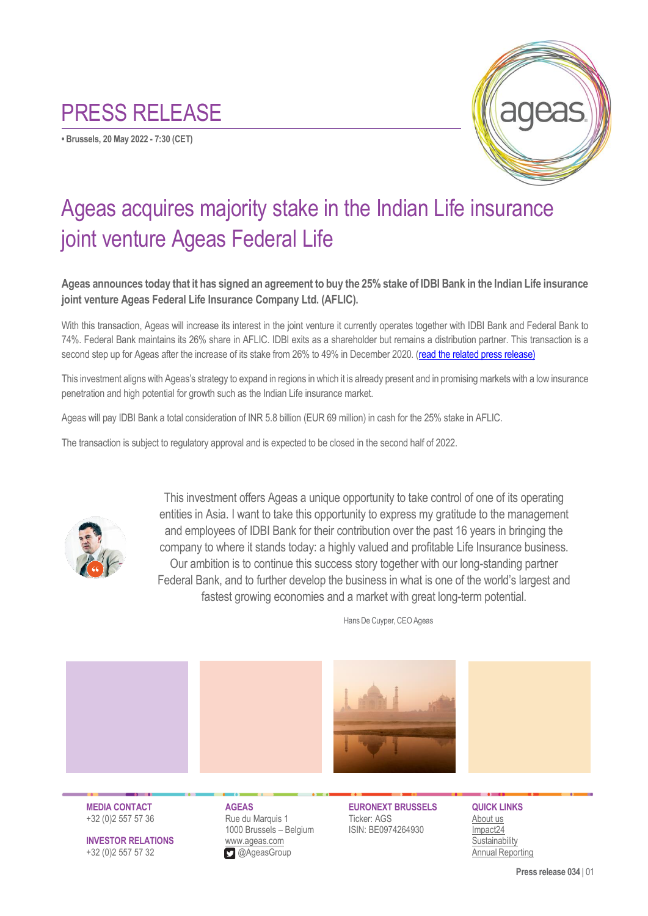## PRESS RELEASE

**• Brussels, 20 May 2022 - 7:30 (CET)**



## Ageas acquires majority stake in the Indian Life insurance joint venture Ageas Federal Life

**Ageas announces today that it has signed an agreement to buy the 25% stake of IDBI Bank in the Indian Life insurance joint venture Ageas Federal Life Insurance Company Ltd. (AFLIC).**

With this transaction, Ageas will increase its interest in the joint venture it currently operates together with IDBI Bank and Federal Bank to 74%. Federal Bank maintains its 26% share in AFLIC. IDBI exits as a shareholder but remains a distribution partner. This transaction is a second step up for Ageas after the increase of its stake from 26% to 49% in December 2020. [\(read the related press release\)](https://www.ageas.com/newsroom/ageas-completes-acquisition-additional-stake-its-indian-life-insurance-jv)

This investment aligns with Ageas's strategy to expand in regions in which it is already present and in promising markets with a low insurance penetration and high potential for growth such as the Indian Life insurance market.

Ageas will pay IDBI Bank a total consideration of INR 5.8 billion (EUR 69 million) in cash for the 25% stake in AFLIC.

The transaction is subject to regulatory approval and is expected to be closed in the second half of 2022.



This investment offers Ageas a unique opportunity to take control of one of its operating entities in Asia. I want to take this opportunity to express my gratitude to the management and employees of IDBI Bank for their contribution over the past 16 years in bringing the company to where it stands today: a highly valued and profitable Life Insurance business. Our ambition is to continue this success story together with our long-standing partner Federal Bank, and to further develop the business in what is one of the world's largest and fastest growing economies and a market with great long-term potential.



Hans De Cuyper, CEO Ageas



**INVESTOR RELATIONS** [www.ageas.com](http://www.ageas.com/) [Sustainability](https://sustainability.ageas.com/) +32 (0)2 557 57 32@AgeasGroup Annual [Reporting](https://reporting2021.ageas.com/)

**MEDIA CONTACT AGEAS EURONEXT BRUSSELS QUICK LINKS** +32 (0)2 557 57 36 Rue du Marquis 1 Ticker: AGS [About us](https://www.ageas.com/about/company) 1000 Brussels – Belgium ISIN: BE0974264930 [Impact24](https://strategy.ageas.com/impact24/)